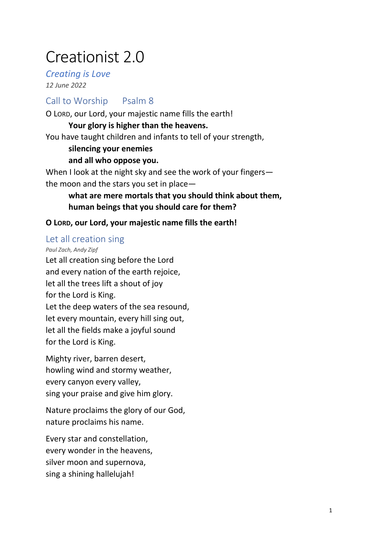# Creationist 2.0

*Creating is Love 12 June 2022*

Call to Worship Psalm 8

O LORD, our Lord, your majestic name fills the earth!

**Your glory is higher than the heavens.** 

You have taught children and infants to tell of your strength,

## **silencing your enemies**

**and all who oppose you.** 

When I look at the night sky and see the work of your fingers the moon and the stars you set in place—

**what are mere mortals that you should think about them, human beings that you should care for them?** 

# **O LORD, our Lord, your majestic name fills the earth!**

# Let all creation sing

*Paul Zach, Andy Zipf*

Let all creation sing before the Lord and every nation of the earth rejoice, let all the trees lift a shout of joy for the Lord is King. Let the deep waters of the sea resound, let every mountain, every hill sing out, let all the fields make a joyful sound for the Lord is King.

Mighty river, barren desert, howling wind and stormy weather, every canyon every valley, sing your praise and give him glory.

Nature proclaims the glory of our God, nature proclaims his name.

Every star and constellation, every wonder in the heavens, silver moon and supernova, sing a shining hallelujah!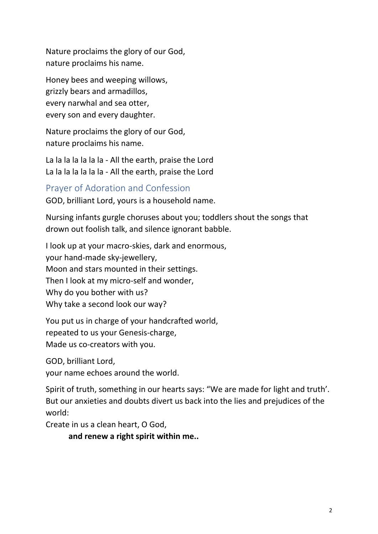Nature proclaims the glory of our God, nature proclaims his name.

Honey bees and weeping willows, grizzly bears and armadillos, every narwhal and sea otter, every son and every daughter.

Nature proclaims the glory of our God, nature proclaims his name.

La la la la la la la - All the earth, praise the Lord La la la la la la la - All the earth, praise the Lord

Prayer of Adoration and Confession

GOD, brilliant Lord, yours is a household name.

Nursing infants gurgle choruses about you; toddlers shout the songs that drown out foolish talk, and silence ignorant babble.

I look up at your macro-skies, dark and enormous, your hand-made sky-jewellery, Moon and stars mounted in their settings. Then I look at my micro-self and wonder, Why do you bother with us? Why take a second look our way?

You put us in charge of your handcrafted world, repeated to us your Genesis-charge, Made us co-creators with you.

GOD, brilliant Lord,

your name echoes around the world.

Spirit of truth, something in our hearts says: "We are made for light and truth'. But our anxieties and doubts divert us back into the lies and prejudices of the world:

Create in us a clean heart, O God,

**and renew a right spirit within me..**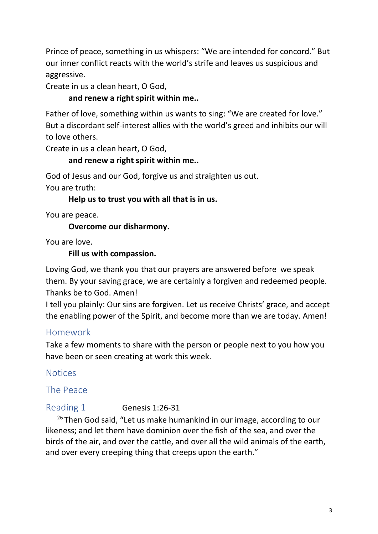Prince of peace, something in us whispers: "We are intended for concord." But our inner conflict reacts with the world's strife and leaves us suspicious and aggressive.

Create in us a clean heart, O God,

# **and renew a right spirit within me..**

Father of love, something within us wants to sing: "We are created for love." But a discordant self-interest allies with the world's greed and inhibits our will to love others.

Create in us a clean heart, O God,

# **and renew a right spirit within me..**

God of Jesus and our God, forgive us and straighten us out.

You are truth:

# **Help us to trust you with all that is in us.**

You are peace.

## **Overcome our disharmony.**

You are love.

# **Fill us with compassion.**

Loving God, we thank you that our prayers are answered before we speak them. By your saving grace, we are certainly a forgiven and redeemed people. Thanks be to God. Amen!

I tell you plainly: Our sins are forgiven. Let us receive Christs' grace, and accept the enabling power of the Spirit, and become more than we are today. Amen!

# Homework

Take a few moments to share with the person or people next to you how you have been or seen creating at work this week.

# **Notices**

# The Peace

# Reading 1 Genesis 1:26-31

 $26$  Then God said, "Let us make humankind in our image, according to our likeness; and let them have dominion over the fish of the sea, and over the birds of the air, and over the cattle, and over all the wild animals of the earth, and over every creeping thing that creeps upon the earth."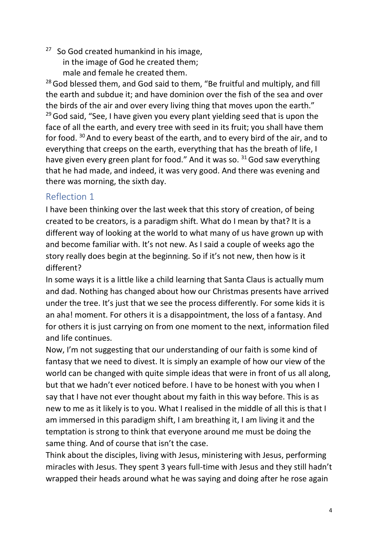$27$  So God created humankind in his image, in the image of God he created them; male and female he created them.

<sup>28</sup> God blessed them, and God said to them, "Be fruitful and multiply, and fill the earth and subdue it; and have dominion over the fish of the sea and over the birds of the air and over every living thing that moves upon the earth."  $29$  God said, "See, I have given you every plant yielding seed that is upon the face of all the earth, and every tree with seed in its fruit; you shall have them for food. <sup>30</sup> And to every beast of the earth, and to every bird of the air, and to everything that creeps on the earth, everything that has the breath of life, I have given every green plant for food." And it was so.  $31$  God saw everything that he had made, and indeed, it was very good. And there was evening and there was morning, the sixth day.

# Reflection 1

I have been thinking over the last week that this story of creation, of being created to be creators, is a paradigm shift. What do I mean by that? It is a different way of looking at the world to what many of us have grown up with and become familiar with. It's not new. As I said a couple of weeks ago the story really does begin at the beginning. So if it's not new, then how is it different?

In some ways it is a little like a child learning that Santa Claus is actually mum and dad. Nothing has changed about how our Christmas presents have arrived under the tree. It's just that we see the process differently. For some kids it is an aha! moment. For others it is a disappointment, the loss of a fantasy. And for others it is just carrying on from one moment to the next, information filed and life continues.

Now, I'm not suggesting that our understanding of our faith is some kind of fantasy that we need to divest. It is simply an example of how our view of the world can be changed with quite simple ideas that were in front of us all along, but that we hadn't ever noticed before. I have to be honest with you when I say that I have not ever thought about my faith in this way before. This is as new to me as it likely is to you. What I realised in the middle of all this is that I am immersed in this paradigm shift, I am breathing it, I am living it and the temptation is strong to think that everyone around me must be doing the same thing. And of course that isn't the case.

Think about the disciples, living with Jesus, ministering with Jesus, performing miracles with Jesus. They spent 3 years full-time with Jesus and they still hadn't wrapped their heads around what he was saying and doing after he rose again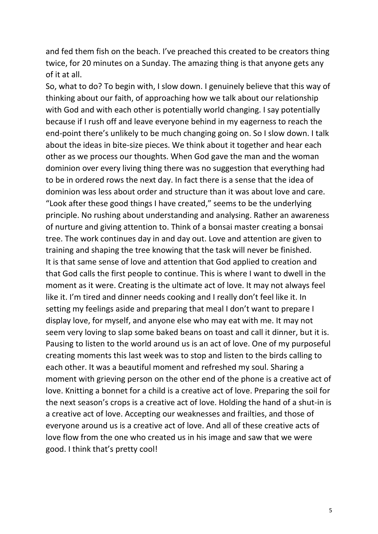and fed them fish on the beach. I've preached this created to be creators thing twice, for 20 minutes on a Sunday. The amazing thing is that anyone gets any of it at all.

So, what to do? To begin with, I slow down. I genuinely believe that this way of thinking about our faith, of approaching how we talk about our relationship with God and with each other is potentially world changing. I say potentially because if I rush off and leave everyone behind in my eagerness to reach the end-point there's unlikely to be much changing going on. So I slow down. I talk about the ideas in bite-size pieces. We think about it together and hear each other as we process our thoughts. When God gave the man and the woman dominion over every living thing there was no suggestion that everything had to be in ordered rows the next day. In fact there is a sense that the idea of dominion was less about order and structure than it was about love and care. "Look after these good things I have created," seems to be the underlying principle. No rushing about understanding and analysing. Rather an awareness of nurture and giving attention to. Think of a bonsai master creating a bonsai tree. The work continues day in and day out. Love and attention are given to training and shaping the tree knowing that the task will never be finished. It is that same sense of love and attention that God applied to creation and that God calls the first people to continue. This is where I want to dwell in the moment as it were. Creating is the ultimate act of love. It may not always feel like it. I'm tired and dinner needs cooking and I really don't feel like it. In setting my feelings aside and preparing that meal I don't want to prepare I display love, for myself, and anyone else who may eat with me. It may not seem very loving to slap some baked beans on toast and call it dinner, but it is. Pausing to listen to the world around us is an act of love. One of my purposeful creating moments this last week was to stop and listen to the birds calling to each other. It was a beautiful moment and refreshed my soul. Sharing a moment with grieving person on the other end of the phone is a creative act of love. Knitting a bonnet for a child is a creative act of love. Preparing the soil for the next season's crops is a creative act of love. Holding the hand of a shut-in is a creative act of love. Accepting our weaknesses and frailties, and those of everyone around us is a creative act of love. And all of these creative acts of love flow from the one who created us in his image and saw that we were good. I think that's pretty cool!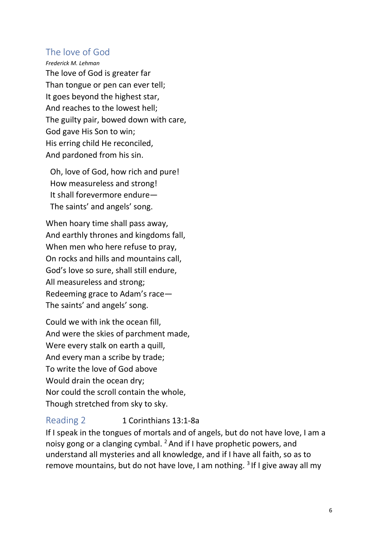## The love of God

*Frederick M. Lehman* The love of God is greater far Than tongue or pen can ever tell; It goes beyond the highest star, And reaches to the lowest hell; The guilty pair, bowed down with care, God gave His Son to win; His erring child He reconciled, And pardoned from his sin.

Oh, love of God, how rich and pure! How measureless and strong! It shall forevermore endure— The saints' and angels' song.

When hoary time shall pass away, And earthly thrones and kingdoms fall, When men who here refuse to pray, On rocks and hills and mountains call, God's love so sure, shall still endure, All measureless and strong; Redeeming grace to Adam's race— The saints' and angels' song.

Could we with ink the ocean fill, And were the skies of parchment made, Were every stalk on earth a quill, And every man a scribe by trade; To write the love of God above Would drain the ocean dry; Nor could the scroll contain the whole, Though stretched from sky to sky.

#### Reading 2 1 Corinthians 13:1-8a

If I speak in the tongues of mortals and of angels, but do not have love, I am a noisy gong or a clanging cymbal. <sup>2</sup> And if I have prophetic powers, and understand all mysteries and all knowledge, and if I have all faith, so as to remove mountains, but do not have love, I am nothing. <sup>3</sup> If I give away all my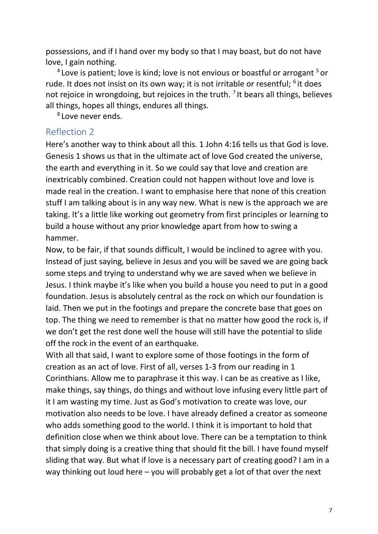possessions, and if I hand over my body so that I may boast, but do not have love, I gain nothing.

<sup>4</sup> Love is patient; love is kind; love is not envious or boastful or arrogant <sup>5</sup> or rude. It does not insist on its own way; it is not irritable or resentful; <sup>6</sup> it does not rejoice in wrongdoing, but rejoices in the truth.  $7$  It bears all things, believes all things, hopes all things, endures all things.

<sup>8</sup> Love never ends.

## Reflection 2

Here's another way to think about all this. 1 John 4:16 tells us that God is love. Genesis 1 shows us that in the ultimate act of love God created the universe, the earth and everything in it. So we could say that love and creation are inextricably combined. Creation could not happen without love and love is made real in the creation. I want to emphasise here that none of this creation stuff I am talking about is in any way new. What is new is the approach we are taking. It's a little like working out geometry from first principles or learning to build a house without any prior knowledge apart from how to swing a hammer.

Now, to be fair, if that sounds difficult, I would be inclined to agree with you. Instead of just saying, believe in Jesus and you will be saved we are going back some steps and trying to understand why we are saved when we believe in Jesus. I think maybe it's like when you build a house you need to put in a good foundation. Jesus is absolutely central as the rock on which our foundation is laid. Then we put in the footings and prepare the concrete base that goes on top. The thing we need to remember is that no matter how good the rock is, if we don't get the rest done well the house will still have the potential to slide off the rock in the event of an earthquake.

With all that said, I want to explore some of those footings in the form of creation as an act of love. First of all, verses 1-3 from our reading in 1 Corinthians. Allow me to paraphrase it this way. I can be as creative as I like, make things, say things, do things and without love infusing every little part of it I am wasting my time. Just as God's motivation to create was love, our motivation also needs to be love. I have already defined a creator as someone who adds something good to the world. I think it is important to hold that definition close when we think about love. There can be a temptation to think that simply doing is a creative thing that should fit the bill. I have found myself sliding that way. But what if love is a necessary part of creating good? I am in a way thinking out loud here – you will probably get a lot of that over the next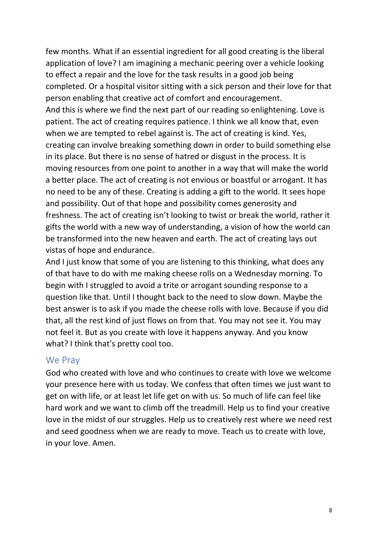few months. What if an essential ingredient for all good creating is the liberal application of love? I am imagining a mechanic peering over a vehicle looking to effect a repair and the love for the task results in a good job being completed. Or a hospital visitor sitting with a sick person and their love for that person enabling that creative act of comfort and encouragement. And this is where we find the next part of our reading so enlightening. Love is patient. The act of creating requires patience. I think we all know that, even when we are tempted to rebel against is. The act of creating is kind. Yes, creating can involve breaking something down in order to build something else in its place. But there is no sense of hatred or disgust in the process. It is moving resources from one point to another in a way that will make the world a better place. The act of creating is not envious or boastful or arrogant. It has no need to be any of these. Creating is adding a gift to the world. It sees hope and possibility. Out of that hope and possibility comes generosity and freshness. The act of creating isn't looking to twist or break the world, rather it gifts the world with a new way of understanding, a vision of how the world can be transformed into the new heaven and earth. The act of creating lays out vistas of hope and endurance.

And I just know that some of you are listening to this thinking, what does any of that have to do with me making cheese rolls on a Wednesday morning. To begin with I struggled to avoid a trite or arrogant sounding response to a question like that. Until I thought back to the need to slow down. Maybe the best answer is to ask if you made the cheese rolls with love. Because if you did that, all the rest kind of just flows on from that. You may not see it. You may not feel it. But as you create with love it happens anyway. And you know what? I think that's pretty cool too.

# We Pray

God who created with love and who continues to create with love we welcome your presence here with us today. We confess that often times we just want to get on with life, or at least let life get on with us. So much of life can feel like hard work and we want to climb off the treadmill. Help us to find your creative love in the midst of our struggles. Help us to creatively rest where we need rest and seed goodness when we are ready to move. Teach us to create with love, in your love. Amen.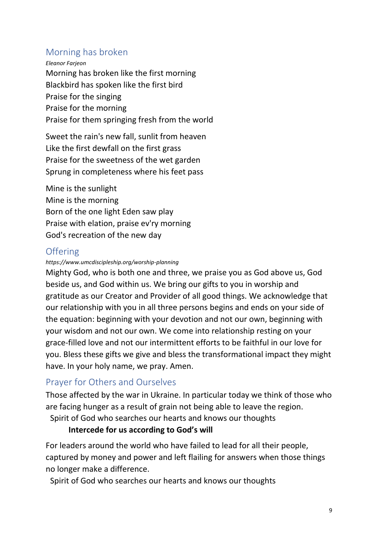# Morning has broken

*Eleanor Farjeon* Morning has broken like the first morning Blackbird has spoken like the first bird Praise for the singing Praise for the morning Praise for them springing fresh from the world

Sweet the rain's new fall, sunlit from heaven Like the first dewfall on the first grass Praise for the sweetness of the wet garden Sprung in completeness where his feet pass

Mine is the sunlight Mine is the morning Born of the one light Eden saw play Praise with elation, praise ev'ry morning God's recreation of the new day

# **Offering**

#### *https://www.umcdiscipleship.org/worship-planning*

Mighty God, who is both one and three, we praise you as God above us, God beside us, and God within us. We bring our gifts to you in worship and gratitude as our Creator and Provider of all good things. We acknowledge that our relationship with you in all three persons begins and ends on your side of the equation: beginning with your devotion and not our own, beginning with your wisdom and not our own. We come into relationship resting on your grace-filled love and not our intermittent efforts to be faithful in our love for you. Bless these gifts we give and bless the transformational impact they might have. In your holy name, we pray. Amen.

# Prayer for Others and Ourselves

Those affected by the war in Ukraine. In particular today we think of those who are facing hunger as a result of grain not being able to leave the region.

Spirit of God who searches our hearts and knows our thoughts

# **Intercede for us according to God's will**

For leaders around the world who have failed to lead for all their people, captured by money and power and left flailing for answers when those things no longer make a difference.

Spirit of God who searches our hearts and knows our thoughts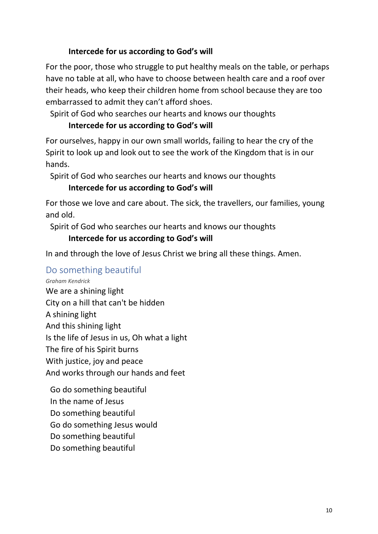# **Intercede for us according to God's will**

For the poor, those who struggle to put healthy meals on the table, or perhaps have no table at all, who have to choose between health care and a roof over their heads, who keep their children home from school because they are too embarrassed to admit they can't afford shoes.

Spirit of God who searches our hearts and knows our thoughts

# **Intercede for us according to God's will**

For ourselves, happy in our own small worlds, failing to hear the cry of the Spirit to look up and look out to see the work of the Kingdom that is in our hands.

Spirit of God who searches our hearts and knows our thoughts

## **Intercede for us according to God's will**

For those we love and care about. The sick, the travellers, our families, young and old.

Spirit of God who searches our hearts and knows our thoughts

# **Intercede for us according to God's will**

In and through the love of Jesus Christ we bring all these things. Amen.

# Do something beautiful

*Graham Kendrick* We are a shining light City on a hill that can't be hidden A shining light And this shining light Is the life of Jesus in us, Oh what a light The fire of his Spirit burns With justice, joy and peace And works through our hands and feet

Go do something beautiful In the name of Jesus Do something beautiful Go do something Jesus would Do something beautiful Do something beautiful